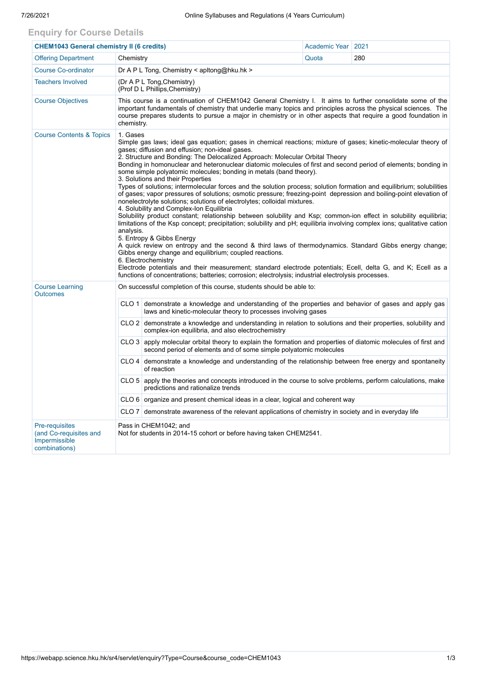## **Enquiry for Course Details**

| <b>CHEM1043 General chemistry II (6 credits)</b>                                  |                                                                                                                                                                                                                                                                                                                                                                                                                                                                                                                                                                                                                                                                                                                                                                                                                                                                                                                                                                                                                                                                                                                                                                                                                                                                                                                                                                                                                                                                                                                                                                                |                                                                                                                                                                                      | Academic Year   2021 |  |  |  |  |
|-----------------------------------------------------------------------------------|--------------------------------------------------------------------------------------------------------------------------------------------------------------------------------------------------------------------------------------------------------------------------------------------------------------------------------------------------------------------------------------------------------------------------------------------------------------------------------------------------------------------------------------------------------------------------------------------------------------------------------------------------------------------------------------------------------------------------------------------------------------------------------------------------------------------------------------------------------------------------------------------------------------------------------------------------------------------------------------------------------------------------------------------------------------------------------------------------------------------------------------------------------------------------------------------------------------------------------------------------------------------------------------------------------------------------------------------------------------------------------------------------------------------------------------------------------------------------------------------------------------------------------------------------------------------------------|--------------------------------------------------------------------------------------------------------------------------------------------------------------------------------------|----------------------|--|--|--|--|
| <b>Offering Department</b>                                                        | 280<br>Chemistry<br>Quota                                                                                                                                                                                                                                                                                                                                                                                                                                                                                                                                                                                                                                                                                                                                                                                                                                                                                                                                                                                                                                                                                                                                                                                                                                                                                                                                                                                                                                                                                                                                                      |                                                                                                                                                                                      |                      |  |  |  |  |
| <b>Course Co-ordinator</b>                                                        | Dr A P L Tong, Chemistry < $apltong@hku.hk$ >                                                                                                                                                                                                                                                                                                                                                                                                                                                                                                                                                                                                                                                                                                                                                                                                                                                                                                                                                                                                                                                                                                                                                                                                                                                                                                                                                                                                                                                                                                                                  |                                                                                                                                                                                      |                      |  |  |  |  |
| <b>Teachers Involved</b>                                                          | (Dr A P L Tong, Chemistry)<br>(Prof D L Phillips, Chemistry)                                                                                                                                                                                                                                                                                                                                                                                                                                                                                                                                                                                                                                                                                                                                                                                                                                                                                                                                                                                                                                                                                                                                                                                                                                                                                                                                                                                                                                                                                                                   |                                                                                                                                                                                      |                      |  |  |  |  |
| <b>Course Objectives</b>                                                          | This course is a continuation of CHEM1042 General Chemistry I. It aims to further consolidate some of the<br>important fundamentals of chemistry that underlie many topics and principles across the physical sciences. The<br>course prepares students to pursue a major in chemistry or in other aspects that require a good foundation in<br>chemistry.                                                                                                                                                                                                                                                                                                                                                                                                                                                                                                                                                                                                                                                                                                                                                                                                                                                                                                                                                                                                                                                                                                                                                                                                                     |                                                                                                                                                                                      |                      |  |  |  |  |
| <b>Course Contents &amp; Topics</b>                                               | 1. Gases<br>Simple gas laws; ideal gas equation; gases in chemical reactions; mixture of gases; kinetic-molecular theory of<br>gases; diffusion and effusion; non-ideal gases.<br>2. Structure and Bonding: The Delocalized Approach: Molecular Orbital Theory<br>Bonding in homonuclear and heteronuclear diatomic molecules of first and second period of elements; bonding in<br>some simple polyatomic molecules; bonding in metals (band theory).<br>3. Solutions and their Properties<br>Types of solutions; intermolecular forces and the solution process; solution formation and equilibrium; solubilities<br>of gases; vapor pressures of solutions; osmotic pressure; freezing-point depression and boiling-point elevation of<br>nonelectrolyte solutions; solutions of electrolytes; colloidal mixtures.<br>4. Solubility and Complex-Ion Equilibria<br>Solubility product constant; relationship between solubility and Ksp; common-ion effect in solubility equilibria;<br>limitations of the Ksp concept; precipitation; solubility and pH; equilibria involving complex ions; qualitative cation<br>analysis.<br>5. Entropy & Gibbs Energy<br>A quick review on entropy and the second & third laws of thermodynamics. Standard Gibbs energy change;<br>Gibbs energy change and equilibrium; coupled reactions.<br>6. Electrochemistry<br>Electrode potentials and their measurement; standard electrode potentials; Ecell, delta G, and K; Ecell as a<br>functions of concentrations; batteries; corrosion; electrolysis; industrial electrolysis processes. |                                                                                                                                                                                      |                      |  |  |  |  |
| <b>Course Learning</b><br><b>Outcomes</b>                                         | On successful completion of this course, students should be able to:                                                                                                                                                                                                                                                                                                                                                                                                                                                                                                                                                                                                                                                                                                                                                                                                                                                                                                                                                                                                                                                                                                                                                                                                                                                                                                                                                                                                                                                                                                           |                                                                                                                                                                                      |                      |  |  |  |  |
|                                                                                   | CLO 1                                                                                                                                                                                                                                                                                                                                                                                                                                                                                                                                                                                                                                                                                                                                                                                                                                                                                                                                                                                                                                                                                                                                                                                                                                                                                                                                                                                                                                                                                                                                                                          | demonstrate a knowledge and understanding of the properties and behavior of gases and apply gas<br>laws and kinetic-molecular theory to processes involving gases                    |                      |  |  |  |  |
|                                                                                   |                                                                                                                                                                                                                                                                                                                                                                                                                                                                                                                                                                                                                                                                                                                                                                                                                                                                                                                                                                                                                                                                                                                                                                                                                                                                                                                                                                                                                                                                                                                                                                                | CLO 2 demonstrate a knowledge and understanding in relation to solutions and their properties, solubility and<br>complex-ion equilibria, and also electrochemistry                   |                      |  |  |  |  |
|                                                                                   |                                                                                                                                                                                                                                                                                                                                                                                                                                                                                                                                                                                                                                                                                                                                                                                                                                                                                                                                                                                                                                                                                                                                                                                                                                                                                                                                                                                                                                                                                                                                                                                | CLO 3 apply molecular orbital theory to explain the formation and properties of diatomic molecules of first and<br>second period of elements and of some simple polyatomic molecules |                      |  |  |  |  |
|                                                                                   |                                                                                                                                                                                                                                                                                                                                                                                                                                                                                                                                                                                                                                                                                                                                                                                                                                                                                                                                                                                                                                                                                                                                                                                                                                                                                                                                                                                                                                                                                                                                                                                | CLO 4 demonstrate a knowledge and understanding of the relationship between free energy and spontaneity<br>of reaction                                                               |                      |  |  |  |  |
|                                                                                   |                                                                                                                                                                                                                                                                                                                                                                                                                                                                                                                                                                                                                                                                                                                                                                                                                                                                                                                                                                                                                                                                                                                                                                                                                                                                                                                                                                                                                                                                                                                                                                                | CLO 5 apply the theories and concepts introduced in the course to solve problems, perform calculations, make<br>predictions and rationalize trends                                   |                      |  |  |  |  |
|                                                                                   |                                                                                                                                                                                                                                                                                                                                                                                                                                                                                                                                                                                                                                                                                                                                                                                                                                                                                                                                                                                                                                                                                                                                                                                                                                                                                                                                                                                                                                                                                                                                                                                | $CLO 6$ organize and present chemical ideas in a clear, logical and coherent way                                                                                                     |                      |  |  |  |  |
|                                                                                   | CLO 7 demonstrate awareness of the relevant applications of chemistry in society and in everyday life                                                                                                                                                                                                                                                                                                                                                                                                                                                                                                                                                                                                                                                                                                                                                                                                                                                                                                                                                                                                                                                                                                                                                                                                                                                                                                                                                                                                                                                                          |                                                                                                                                                                                      |                      |  |  |  |  |
| <b>Pre-requisites</b><br>(and Co-requisites and<br>Impermissible<br>combinations) | Pass in CHEM1042; and<br>Not for students in 2014-15 cohort or before having taken CHEM2541.                                                                                                                                                                                                                                                                                                                                                                                                                                                                                                                                                                                                                                                                                                                                                                                                                                                                                                                                                                                                                                                                                                                                                                                                                                                                                                                                                                                                                                                                                   |                                                                                                                                                                                      |                      |  |  |  |  |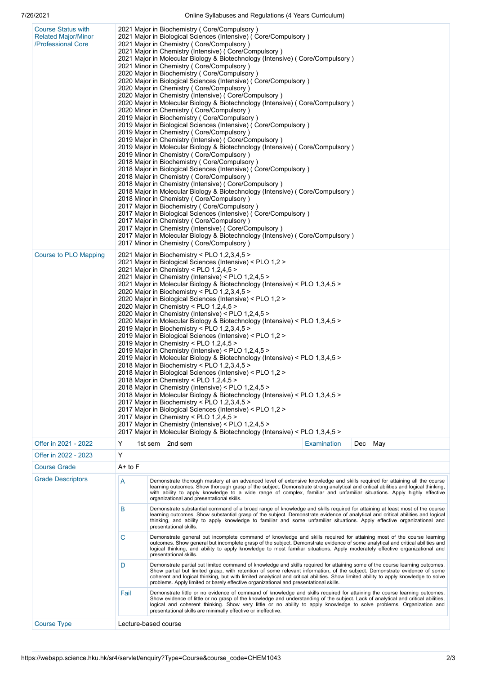| <b>Course Status with</b><br><b>Related Major/Minor</b><br>/Professional Core<br><b>Course to PLO Mapping</b> | 2021 Major in Biochemistry (Core/Compulsory)<br>2021 Major in Biological Sciences (Intensive) (Core/Compulsory)<br>2021 Major in Chemistry (Core/Compulsory)<br>2021 Major in Chemistry (Intensive) (Core/Compulsory)<br>2021 Major in Molecular Biology & Biotechnology (Intensive) (Core/Compulsory)<br>2021 Minor in Chemistry (Core/Compulsory)<br>2020 Major in Biochemistry (Core/Compulsory)<br>2020 Major in Biological Sciences (Intensive) (Core/Compulsory)<br>2020 Major in Chemistry (Core/Compulsory)<br>2020 Major in Chemistry (Intensive) (Core/Compulsory)<br>2020 Major in Molecular Biology & Biotechnology (Intensive) (Core/Compulsory)<br>2020 Minor in Chemistry (Core/Compulsory)<br>2019 Major in Biochemistry (Core/Compulsory)<br>2019 Major in Biological Sciences (Intensive) (Core/Compulsory)<br>2019 Major in Chemistry (Core/Compulsory)<br>2019 Major in Chemistry (Intensive) (Core/Compulsory)<br>2019 Major in Molecular Biology & Biotechnology (Intensive) (Core/Compulsory)<br>2019 Minor in Chemistry (Core/Compulsory)<br>2018 Major in Biochemistry (Core/Compulsory)<br>2018 Major in Biological Sciences (Intensive) ( Core/Compulsory )<br>2018 Major in Chemistry (Core/Compulsory)<br>2018 Major in Chemistry (Intensive) (Core/Compulsory)<br>2018 Major in Molecular Biology & Biotechnology (Intensive) (Core/Compulsory)<br>2018 Minor in Chemistry (Core/Compulsory)<br>2017 Major in Biochemistry (Core/Compulsory)<br>2017 Major in Biological Sciences (Intensive) (Core/Compulsory)<br>2017 Major in Chemistry ( Core/Compulsory )<br>2017 Major in Chemistry (Intensive) (Core/Compulsory)<br>2017 Major in Molecular Biology & Biotechnology (Intensive) (Core/Compulsory)<br>2017 Minor in Chemistry (Core/Compulsory)<br>2021 Major in Biochemistry < PLO $1,2,3,4,5$ ><br>2021 Major in Biological Sciences (Intensive) < PLO 1,2 ><br>2021 Major in Chemistry < PLO 1,2,4,5 ><br>2021 Major in Chemistry (Intensive) < PLO 1,2,4,5 ><br>2021 Major in Molecular Biology & Biotechnology (Intensive) < PLO 1,3,4,5 ><br>2020 Major in Biochemistry < PLO 1,2,3,4,5 ><br>2020 Major in Biological Sciences (Intensive) < PLO 1,2 ><br>2020 Major in Chemistry < PLO 1,2,4,5 ><br>2020 Major in Chemistry (Intensive) < PLO 1,2,4,5 ><br>2020 Major in Molecular Biology & Biotechnology (Intensive) < PLO 1,3,4,5 ><br>2019 Major in Biochemistry < PLO 1,2,3,4,5 ><br>2019 Major in Biological Sciences (Intensive) < PLO 1,2 ><br>2019 Major in Chemistry < PLO 1,2,4,5 ><br>2019 Major in Chemistry (Intensive) < PLO 1,2,4,5 ><br>2019 Major in Molecular Biology & Biotechnology (Intensive) < PLO 1,3,4,5 > |                                                                                                                                                                                                                                                                                                                                                                                                                                                                                           |                    |  |         |  |  |
|---------------------------------------------------------------------------------------------------------------|---------------------------------------------------------------------------------------------------------------------------------------------------------------------------------------------------------------------------------------------------------------------------------------------------------------------------------------------------------------------------------------------------------------------------------------------------------------------------------------------------------------------------------------------------------------------------------------------------------------------------------------------------------------------------------------------------------------------------------------------------------------------------------------------------------------------------------------------------------------------------------------------------------------------------------------------------------------------------------------------------------------------------------------------------------------------------------------------------------------------------------------------------------------------------------------------------------------------------------------------------------------------------------------------------------------------------------------------------------------------------------------------------------------------------------------------------------------------------------------------------------------------------------------------------------------------------------------------------------------------------------------------------------------------------------------------------------------------------------------------------------------------------------------------------------------------------------------------------------------------------------------------------------------------------------------------------------------------------------------------------------------------------------------------------------------------------------------------------------------------------------------------------------------------------------------------------------------------------------------------------------------------------------------------------------------------------------------------------------------------------------------------------------------------------------------------------------------------------------------------------------------------------------------------------------------------------------------------------------------------------------------------------------------------------------|-------------------------------------------------------------------------------------------------------------------------------------------------------------------------------------------------------------------------------------------------------------------------------------------------------------------------------------------------------------------------------------------------------------------------------------------------------------------------------------------|--------------------|--|---------|--|--|
|                                                                                                               |                                                                                                                                                                                                                                                                                                                                                                                                                                                                                                                                                                                                                                                                                                                                                                                                                                                                                                                                                                                                                                                                                                                                                                                                                                                                                                                                                                                                                                                                                                                                                                                                                                                                                                                                                                                                                                                                                                                                                                                                                                                                                                                                                                                                                                                                                                                                                                                                                                                                                                                                                                                                                                                                                 | 2018 Major in Chemistry < PLO 1,2,4,5 ><br>2018 Major in Chemistry (Intensive) < PLO 1,2,4,5 ><br>2018 Major in Molecular Biology & Biotechnology (Intensive) < PLO 1,3,4,5 ><br>2017 Major in Biochemistry < PLO 1,2,3,4,5 ><br>2017 Major in Biological Sciences (Intensive) < PLO 1,2 ><br>2017 Major in Chemistry < PLO 1,2,4,5 >                                                                                                                                                     |                    |  |         |  |  |
|                                                                                                               | 2017 Major in Chemistry (Intensive) < PLO 1,2,4,5 ><br>2017 Major in Molecular Biology & Biotechnology (Intensive) < PLO 1,3,4,5 >                                                                                                                                                                                                                                                                                                                                                                                                                                                                                                                                                                                                                                                                                                                                                                                                                                                                                                                                                                                                                                                                                                                                                                                                                                                                                                                                                                                                                                                                                                                                                                                                                                                                                                                                                                                                                                                                                                                                                                                                                                                                                                                                                                                                                                                                                                                                                                                                                                                                                                                                              |                                                                                                                                                                                                                                                                                                                                                                                                                                                                                           |                    |  |         |  |  |
| Offer in 2021 - 2022                                                                                          | Y                                                                                                                                                                                                                                                                                                                                                                                                                                                                                                                                                                                                                                                                                                                                                                                                                                                                                                                                                                                                                                                                                                                                                                                                                                                                                                                                                                                                                                                                                                                                                                                                                                                                                                                                                                                                                                                                                                                                                                                                                                                                                                                                                                                                                                                                                                                                                                                                                                                                                                                                                                                                                                                                               | 1st sem 2nd sem                                                                                                                                                                                                                                                                                                                                                                                                                                                                           | <b>Examination</b> |  | Dec May |  |  |
| Offer in 2022 - 2023                                                                                          | Y                                                                                                                                                                                                                                                                                                                                                                                                                                                                                                                                                                                                                                                                                                                                                                                                                                                                                                                                                                                                                                                                                                                                                                                                                                                                                                                                                                                                                                                                                                                                                                                                                                                                                                                                                                                                                                                                                                                                                                                                                                                                                                                                                                                                                                                                                                                                                                                                                                                                                                                                                                                                                                                                               |                                                                                                                                                                                                                                                                                                                                                                                                                                                                                           |                    |  |         |  |  |
| <b>Course Grade</b>                                                                                           | $A+$ to $F$                                                                                                                                                                                                                                                                                                                                                                                                                                                                                                                                                                                                                                                                                                                                                                                                                                                                                                                                                                                                                                                                                                                                                                                                                                                                                                                                                                                                                                                                                                                                                                                                                                                                                                                                                                                                                                                                                                                                                                                                                                                                                                                                                                                                                                                                                                                                                                                                                                                                                                                                                                                                                                                                     |                                                                                                                                                                                                                                                                                                                                                                                                                                                                                           |                    |  |         |  |  |
| <b>Grade Descriptors</b>                                                                                      | A<br>Demonstrate thorough mastery at an advanced level of extensive knowledge and skills required for attaining all the course<br>learning outcomes. Show thorough grasp of the subject. Demonstrate strong analytical and critical abilities and logical thinking,<br>with ability to apply knowledge to a wide range of complex, familiar and unfamiliar situations. Apply highly effective<br>organizational and presentational skills.                                                                                                                                                                                                                                                                                                                                                                                                                                                                                                                                                                                                                                                                                                                                                                                                                                                                                                                                                                                                                                                                                                                                                                                                                                                                                                                                                                                                                                                                                                                                                                                                                                                                                                                                                                                                                                                                                                                                                                                                                                                                                                                                                                                                                                      |                                                                                                                                                                                                                                                                                                                                                                                                                                                                                           |                    |  |         |  |  |
|                                                                                                               | в                                                                                                                                                                                                                                                                                                                                                                                                                                                                                                                                                                                                                                                                                                                                                                                                                                                                                                                                                                                                                                                                                                                                                                                                                                                                                                                                                                                                                                                                                                                                                                                                                                                                                                                                                                                                                                                                                                                                                                                                                                                                                                                                                                                                                                                                                                                                                                                                                                                                                                                                                                                                                                                                               | Demonstrate substantial command of a broad range of knowledge and skills required for attaining at least most of the course<br>learning outcomes. Show substantial grasp of the subject. Demonstrate evidence of analytical and critical abilities and logical<br>thinking, and ability to apply knowledge to familiar and some unfamiliar situations. Apply effective organizational and<br>presentational skills.                                                                       |                    |  |         |  |  |
|                                                                                                               | С                                                                                                                                                                                                                                                                                                                                                                                                                                                                                                                                                                                                                                                                                                                                                                                                                                                                                                                                                                                                                                                                                                                                                                                                                                                                                                                                                                                                                                                                                                                                                                                                                                                                                                                                                                                                                                                                                                                                                                                                                                                                                                                                                                                                                                                                                                                                                                                                                                                                                                                                                                                                                                                                               | Demonstrate general but incomplete command of knowledge and skills required for attaining most of the course learning<br>outcomes. Show general but incomplete grasp of the subject. Demonstrate evidence of some analytical and critical abilities and<br>logical thinking, and ability to apply knowledge to most familiar situations. Apply moderately effective organizational and<br>presentational skills.                                                                          |                    |  |         |  |  |
|                                                                                                               | D                                                                                                                                                                                                                                                                                                                                                                                                                                                                                                                                                                                                                                                                                                                                                                                                                                                                                                                                                                                                                                                                                                                                                                                                                                                                                                                                                                                                                                                                                                                                                                                                                                                                                                                                                                                                                                                                                                                                                                                                                                                                                                                                                                                                                                                                                                                                                                                                                                                                                                                                                                                                                                                                               | Demonstrate partial but limited command of knowledge and skills required for attaining some of the course learning outcomes.<br>Show partial but limited grasp, with retention of some relevant information, of the subject. Demonstrate evidence of some<br>coherent and logical thinking, but with limited analytical and critical abilities. Show limited ability to apply knowledge to solve<br>problems. Apply limited or barely effective organizational and presentational skills. |                    |  |         |  |  |
|                                                                                                               | Fail                                                                                                                                                                                                                                                                                                                                                                                                                                                                                                                                                                                                                                                                                                                                                                                                                                                                                                                                                                                                                                                                                                                                                                                                                                                                                                                                                                                                                                                                                                                                                                                                                                                                                                                                                                                                                                                                                                                                                                                                                                                                                                                                                                                                                                                                                                                                                                                                                                                                                                                                                                                                                                                                            | Demonstrate little or no evidence of command of knowledge and skills required for attaining the course learning outcomes.<br>Show evidence of little or no grasp of the knowledge and understanding of the subject. Lack of analytical and critical abilities,<br>logical and coherent thinking. Show very little or no ability to apply knowledge to solve problems. Organization and<br>presentational skills are minimally effective or ineffective.                                   |                    |  |         |  |  |
| <b>Course Type</b>                                                                                            | Lecture-based course                                                                                                                                                                                                                                                                                                                                                                                                                                                                                                                                                                                                                                                                                                                                                                                                                                                                                                                                                                                                                                                                                                                                                                                                                                                                                                                                                                                                                                                                                                                                                                                                                                                                                                                                                                                                                                                                                                                                                                                                                                                                                                                                                                                                                                                                                                                                                                                                                                                                                                                                                                                                                                                            |                                                                                                                                                                                                                                                                                                                                                                                                                                                                                           |                    |  |         |  |  |